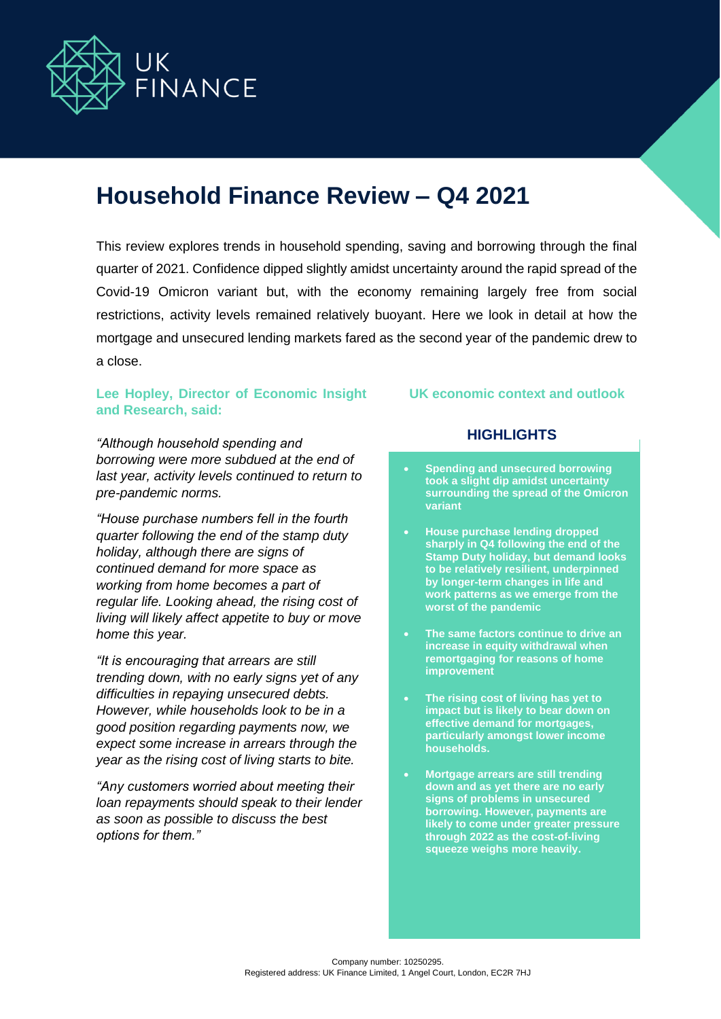

# **Household Finance Review – Q4 2021**

This review explores trends in household spending, saving and borrowing through the final quarter of 2021. Confidence dipped slightly amidst uncertainty around the rapid spread of the Covid-19 Omicron variant but, with the economy remaining largely free from social restrictions, activity levels remained relatively buoyant. Here we look in detail at how the mortgage and unsecured lending markets fared as the second year of the pandemic drew to a close.

## **Lee Hopley, Director of Economic Insight and Research, said:**

**UK economic context and outlook**

*"Although household spending and borrowing were more subdued at the end of last year, activity levels continued to return to pre-pandemic norms.*

*"House purchase numbers fell in the fourth quarter following the end of the stamp duty holiday, although there are signs of continued demand for more space as working from home becomes a part of regular life. Looking ahead, the rising cost of living will likely affect appetite to buy or move home this year.* 

*"It is encouraging that arrears are still trending down, with no early signs yet of any difficulties in repaying unsecured debts. However, while households look to be in a good position regarding payments now, we expect some increase in arrears through the year as the rising cost of living starts to bite.*

*"Any customers worried about meeting their loan repayments should speak to their lender as soon as possible to discuss the best options for them."*

# **HIGHLIGHTS**

- **Spending and unsecured borrowing took a slight dip amidst uncertainty surrounding the spread of the Omicron variant**
- **House purchase lending dropped sharply in Q4 following the end of the Stamp Duty holiday, but demand looks to be relatively resilient, underpinned by longer-term changes in life and work patterns as we emerge from the worst of the pandemic**
- **The same factors continue to drive an increase in equity withdrawal when remortgaging for reasons of home improvement**
- **The rising cost of living has yet to impact but is likely to bear down on effective demand for mortgages, particularly amongst lower income households.**
- **Mortgage arrears are still trending down and as yet there are no early signs of problems in unsecured borrowing. However, payments are likely to come under greater pressure through 2022 as the cost-of-living squeeze weighs more heavily.**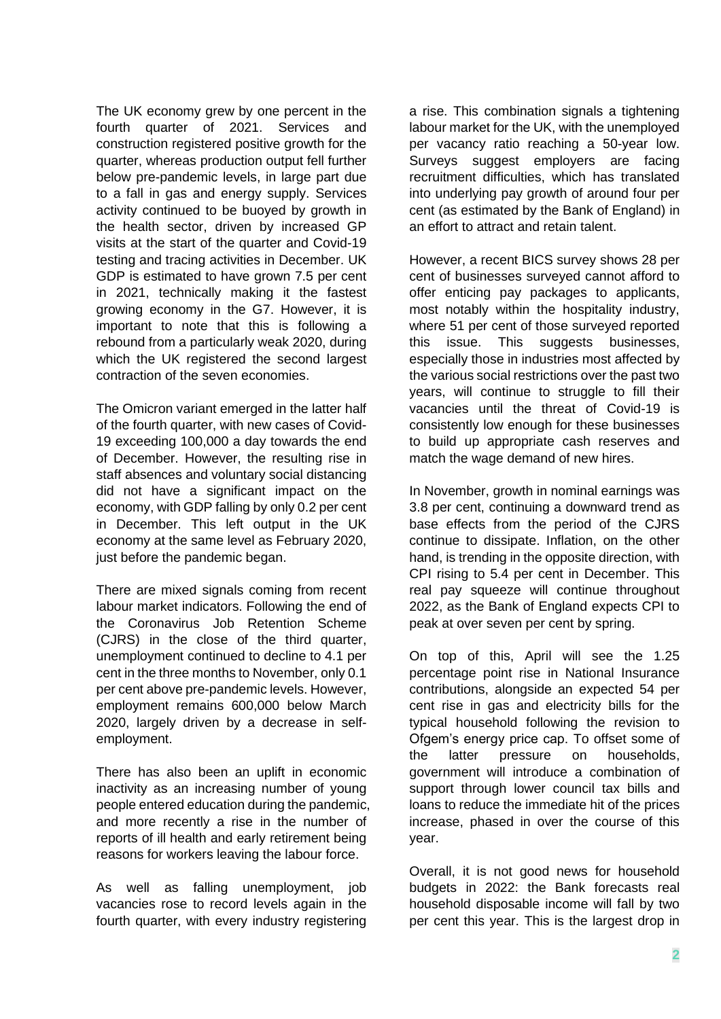The UK economy grew by one percent in the fourth quarter of 2021. Services and construction registered positive growth for the quarter, whereas production output fell further below pre-pandemic levels, in large part due to a fall in gas and energy supply. Services activity continued to be buoyed by growth in the health sector, driven by increased GP visits at the start of the quarter and Covid-19 testing and tracing activities in December. UK GDP is estimated to have grown 7.5 per cent in 2021, technically making it the fastest growing economy in the G7. However, it is important to note that this is following a rebound from a particularly weak 2020, during which the UK registered the second largest contraction of the seven economies.

The Omicron variant emerged in the latter half of the fourth quarter, with new cases of Covid-19 exceeding 100,000 a day towards the end of December. However, the resulting rise in staff absences and voluntary social distancing did not have a significant impact on the economy, with GDP falling by only 0.2 per cent in December. This left output in the UK economy at the same level as February 2020, just before the pandemic began.

There are mixed signals coming from recent labour market indicators. Following the end of the Coronavirus Job Retention Scheme (CJRS) in the close of the third quarter, unemployment continued to decline to 4.1 per cent in the three months to November, only 0.1 per cent above pre-pandemic levels. However, employment remains 600,000 below March 2020, largely driven by a decrease in selfemployment.

There has also been an uplift in economic inactivity as an increasing number of young people entered education during the pandemic, and more recently a rise in the number of reports of ill health and early retirement being reasons for workers leaving the labour force.

As well as falling unemployment, job vacancies rose to record levels again in the fourth quarter, with every industry registering a rise. This combination signals a tightening labour market for the UK, with the unemployed per vacancy ratio reaching a 50-year low. Surveys suggest employers are facing recruitment difficulties, which has translated into underlying pay growth of around four per cent (as estimated by the Bank of England) in an effort to attract and retain talent.

However, a recent BICS survey shows 28 per cent of businesses surveyed cannot afford to offer enticing pay packages to applicants, most notably within the hospitality industry, where 51 per cent of those surveyed reported this issue. This suggests businesses, especially those in industries most affected by the various social restrictions over the past two years, will continue to struggle to fill their vacancies until the threat of Covid-19 is consistently low enough for these businesses to build up appropriate cash reserves and match the wage demand of new hires.

In November, growth in nominal earnings was 3.8 per cent, continuing a downward trend as base effects from the period of the CJRS continue to dissipate. Inflation, on the other hand, is trending in the opposite direction, with CPI rising to 5.4 per cent in December. This real pay squeeze will continue throughout 2022, as the Bank of England expects CPI to peak at over seven per cent by spring.

On top of this, April will see the 1.25 percentage point rise in National Insurance contributions, alongside an expected 54 per cent rise in gas and electricity bills for the typical household following the revision to Ofgem's energy price cap. To offset some of the latter pressure on households, government will introduce a combination of support through lower council tax bills and loans to reduce the immediate hit of the prices increase, phased in over the course of this year.

Overall, it is not good news for household budgets in 2022: the Bank forecasts real household disposable income will fall by two per cent this year. This is the largest drop in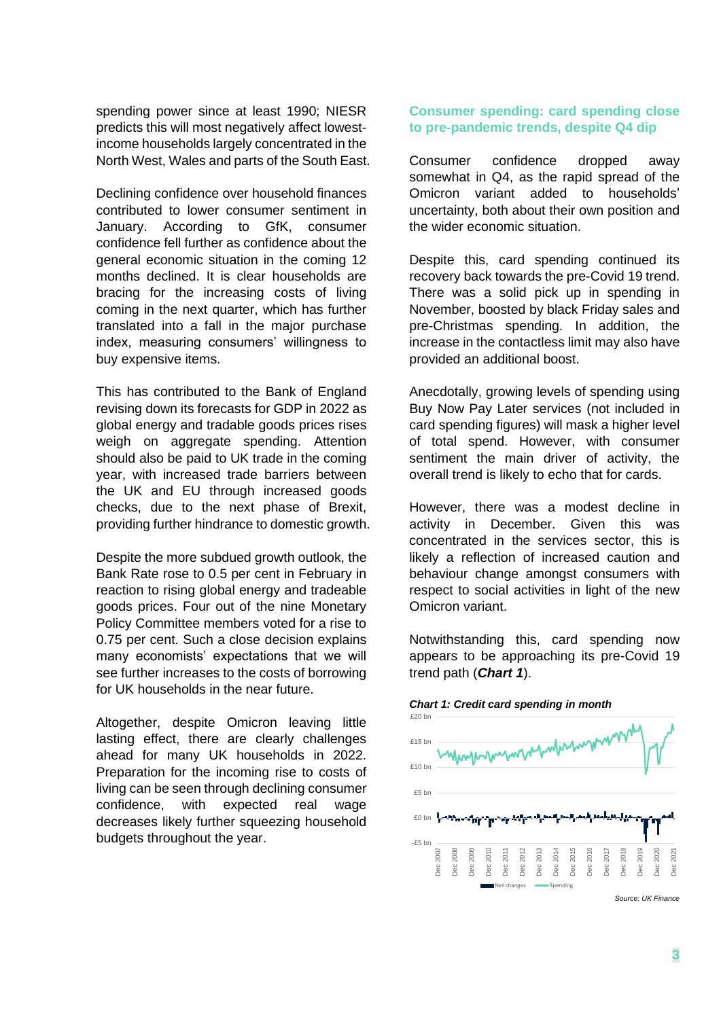spending power since at least 1990; NIESR predicts this will most negatively affect lowestincome households largely concentrated in the North West, Wales and parts of the South East.

Declining confidence over household finances contributed to lower consumer sentiment in January. According to GfK, consumer confidence fell further as confidence about the general economic situation in the coming 12 months declined. It is clear households are bracing for the increasing costs of living coming in the next quarter, which has further translated into a fall in the major purchase index, measuring consumers' willingness to buy expensive items.

This has contributed to the Bank of England revising down its forecasts for GDP in 2022 as global energy and tradable goods prices rises weigh on aggregate spending. Attention should also be paid to UK trade in the coming year, with increased trade barriers between the UK and EU through increased goods checks, due to the next phase of Brexit, providing further hindrance to domestic growth.

Despite the more subdued growth outlook, the Bank Rate rose to 0.5 per cent in February in reaction to rising global energy and tradeable goods prices. Four out of the nine Monetary Policy Committee members voted for a rise to 0.75 per cent. Such a close decision explains many economists' expectations that we will see further increases to the costs of borrowing for UK households in the near future.

Altogether, despite Omicron leaving little lasting effect, there are clearly challenges ahead for many UK households in 2022. Preparation for the incoming rise to costs of living can be seen through declining consumer confidence, with expected real wage decreases likely further squeezing household budgets throughout the year.

## **Consumer spending: card spending close to pre-pandemic trends, despite Q4 dip**

Consumer confidence dropped away somewhat in Q4, as the rapid spread of the Omicron variant added to households' uncertainty, both about their own position and the wider economic situation.

Despite this, card spending continued its recovery back towards the pre-Covid 19 trend. There was a solid pick up in spending in November, boosted by black Friday sales and pre-Christmas spending. In addition, the increase in the contactless limit may also have provided an additional boost.

Anecdotally, growing levels of spending using Buy Now Pay Later services (not included in card spending figures) will mask a higher level of total spend. However, with consumer sentiment the main driver of activity, the overall trend is likely to echo that for cards.

However, there was a modest decline in activity in December. Given this was concentrated in the services sector, this is likely a reflection of increased caution and behaviour change amongst consumers with respect to social activities in light of the new Omicron variant.

Notwithstanding this, card spending now appears to be approaching its pre-Covid 19 trend path (*Chart 1*).



*Chart 1: Credit card spending in month*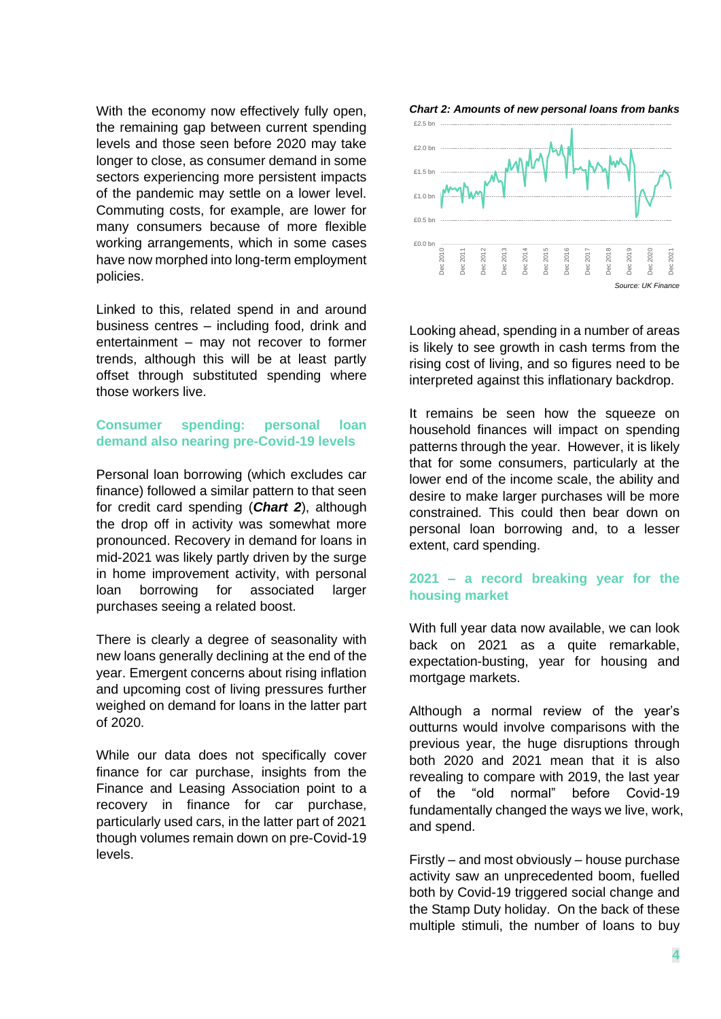With the economy now effectively fully open, the remaining gap between current spending levels and those seen before 2020 may take longer to close, as consumer demand in some sectors experiencing more persistent impacts of the pandemic may settle on a lower level. Commuting costs, for example, are lower for many consumers because of more flexible working arrangements, which in some cases have now morphed into long-term employment policies.

Linked to this, related spend in and around business centres – including food, drink and entertainment – may not recover to former trends, although this will be at least partly offset through substituted spending where those workers live.

## **Consumer spending: personal loan demand also nearing pre-Covid-19 levels**

Personal loan borrowing (which excludes car finance) followed a similar pattern to that seen for credit card spending (*Chart 2*), although the drop off in activity was somewhat more pronounced. Recovery in demand for loans in mid-2021 was likely partly driven by the surge in home improvement activity, with personal loan borrowing for associated larger purchases seeing a related boost.

There is clearly a degree of seasonality with new loans generally declining at the end of the year. Emergent concerns about rising inflation and upcoming cost of living pressures further weighed on demand for loans in the latter part of 2020.

While our data does not specifically cover finance for car purchase, insights from the Finance and Leasing Association point to a recovery in finance for car purchase, particularly used cars, in the latter part of 2021 though volumes remain down on pre-Covid-19 levels.





Looking ahead, spending in a number of areas is likely to see growth in cash terms from the rising cost of living, and so figures need to be interpreted against this inflationary backdrop.

It remains be seen how the squeeze on household finances will impact on spending patterns through the year. However, it is likely that for some consumers, particularly at the lower end of the income scale, the ability and desire to make larger purchases will be more constrained. This could then bear down on personal loan borrowing and, to a lesser extent, card spending.

## **2021 – a record breaking year for the housing market**

With full year data now available, we can look back on 2021 as a quite remarkable, expectation-busting, year for housing and mortgage markets.

Although a normal review of the year's outturns would involve comparisons with the previous year, the huge disruptions through both 2020 and 2021 mean that it is also revealing to compare with 2019, the last year of the "old normal" before Covid-19 fundamentally changed the ways we live, work, and spend.

Firstly – and most obviously – house purchase activity saw an unprecedented boom, fuelled both by Covid-19 triggered social change and the Stamp Duty holiday. On the back of these multiple stimuli, the number of loans to buy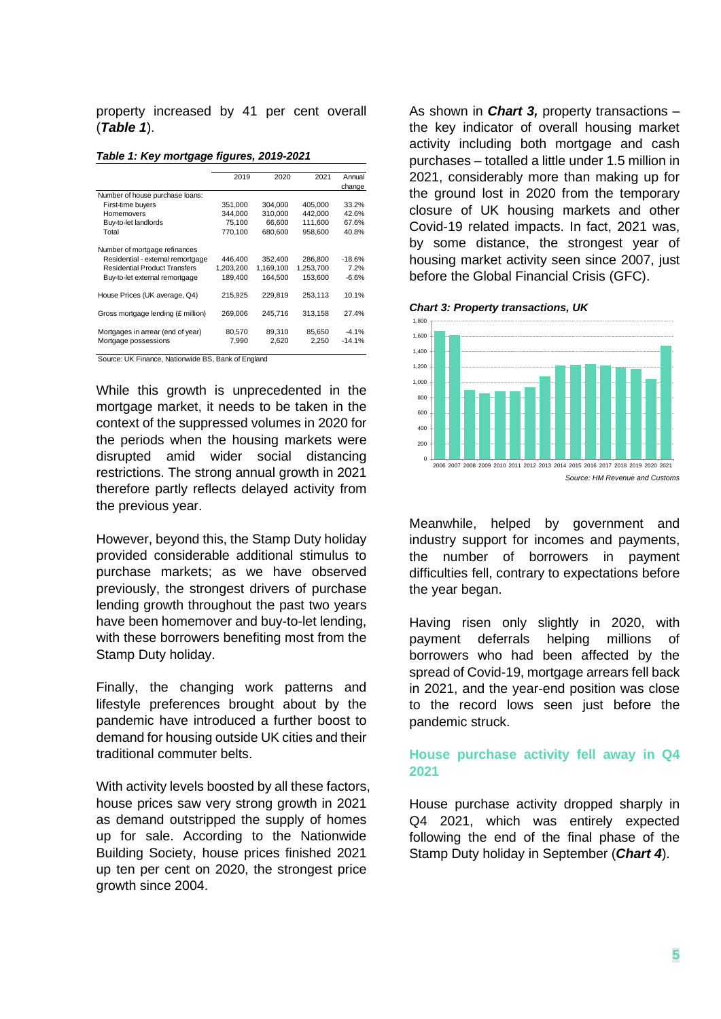property increased by 41 per cent overall (*Table 1*).

|                                                                                                                                              | 2019                            | 2020                            | 2021                            | Annual                      |
|----------------------------------------------------------------------------------------------------------------------------------------------|---------------------------------|---------------------------------|---------------------------------|-----------------------------|
|                                                                                                                                              |                                 |                                 |                                 | change                      |
| Number of house purchase loans:                                                                                                              |                                 |                                 |                                 |                             |
| First-time buyers                                                                                                                            | 351.000                         | 304.000                         | 405.000                         | 33.2%                       |
| Homemovers                                                                                                                                   | 344,000                         | 310,000                         | 442,000                         | 42.6%                       |
| Buy-to-let landlords                                                                                                                         | 75.100                          | 66.600                          | 111.600                         | 67.6%                       |
| Total                                                                                                                                        | 770,100                         | 680.600                         | 958,600                         | 40.8%                       |
| Number of mortgage refinances<br>Residential - external remortgage<br><b>Residential Product Transfers</b><br>Buy-to-let external remortgage | 446.400<br>1,203,200<br>189,400 | 352,400<br>1.169.100<br>164,500 | 286,800<br>1,253,700<br>153,600 | $-18.6%$<br>7.2%<br>$-6.6%$ |
| House Prices (UK average, Q4)                                                                                                                | 215.925                         | 229.819                         | 253.113                         | 10.1%                       |
| Gross mortgage lending (£ million)                                                                                                           | 269,006                         | 245.716                         | 313,158                         | 27.4%                       |
| Mortgages in arrear (end of year)                                                                                                            | 80,570                          | 89,310                          | 85.650                          | $-4.1%$                     |
| Mortgage possessions                                                                                                                         | 7,990                           | 2,620                           | 2.250                           | $-14.1%$                    |

|  | Table 1: Key mortgage figures, 2019-2021 |  |  |
|--|------------------------------------------|--|--|
|--|------------------------------------------|--|--|

Source: UK Finance, Nationwide BS, Bank of England

While this growth is unprecedented in the mortgage market, it needs to be taken in the context of the suppressed volumes in 2020 for the periods when the housing markets were disrupted amid wider social distancing restrictions. The strong annual growth in 2021 therefore partly reflects delayed activity from the previous year.

However, beyond this, the Stamp Duty holiday provided considerable additional stimulus to purchase markets; as we have observed previously, the strongest drivers of purchase lending growth throughout the past two years have been homemover and buy-to-let lending, with these borrowers benefiting most from the Stamp Duty holiday.

Finally, the changing work patterns and lifestyle preferences brought about by the pandemic have introduced a further boost to demand for housing outside UK cities and their traditional commuter belts.

With activity levels boosted by all these factors, house prices saw very strong growth in 2021 as demand outstripped the supply of homes up for sale. According to the Nationwide Building Society, house prices finished 2021 up ten per cent on 2020, the strongest price growth since 2004.

As shown in *Chart 3,* property transactions – the key indicator of overall housing market activity including both mortgage and cash purchases – totalled a little under 1.5 million in 2021, considerably more than making up for the ground lost in 2020 from the temporary closure of UK housing markets and other Covid-19 related impacts. In fact, 2021 was, by some distance, the strongest year of housing market activity seen since 2007, just before the Global Financial Crisis (GFC).





Meanwhile, helped by government and industry support for incomes and payments, the number of borrowers in payment difficulties fell, contrary to expectations before the year began.

Having risen only slightly in 2020, with payment deferrals helping millions of borrowers who had been affected by the spread of Covid-19, mortgage arrears fell back in 2021, and the year-end position was close to the record lows seen just before the pandemic struck.

#### **House purchase activity fell away in Q4 2021**

House purchase activity dropped sharply in Q4 2021, which was entirely expected following the end of the final phase of the Stamp Duty holiday in September (*Chart 4*).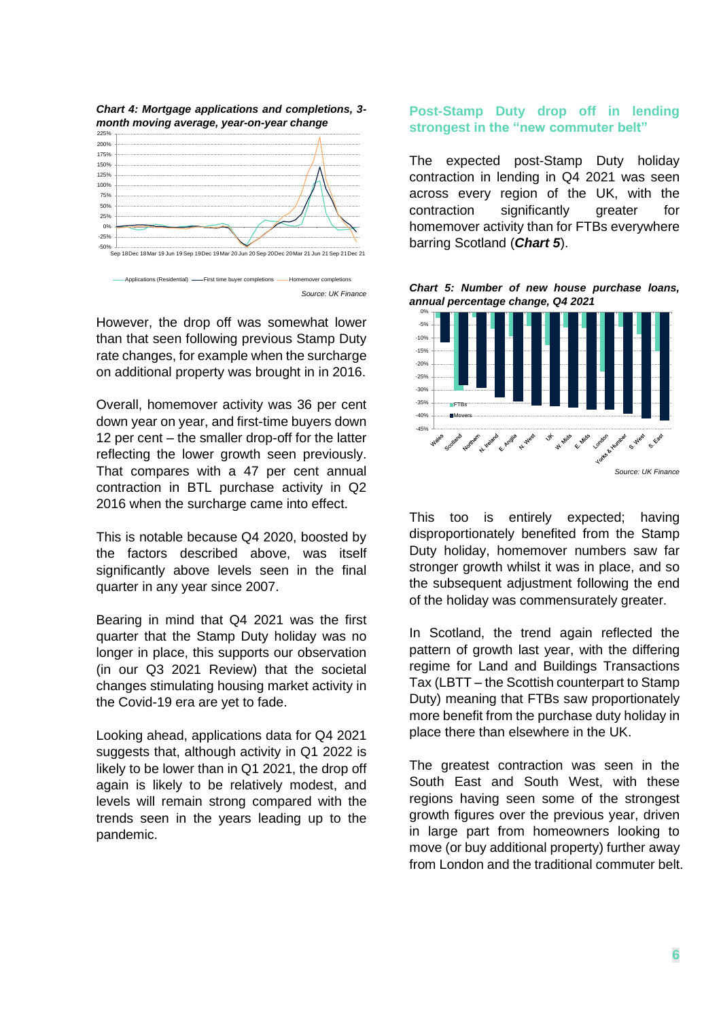

However, the drop off was somewhat lower than that seen following previous Stamp Duty rate changes, for example when the surcharge on additional property was brought in in 2016.

Overall, homemover activity was 36 per cent down year on year, and first-time buyers down 12 per cent – the smaller drop-off for the latter reflecting the lower growth seen previously. That compares with a 47 per cent annual contraction in BTL purchase activity in Q2 2016 when the surcharge came into effect.

This is notable because Q4 2020, boosted by the factors described above, was itself significantly above levels seen in the final quarter in any year since 2007.

Bearing in mind that Q4 2021 was the first quarter that the Stamp Duty holiday was no longer in place, this supports our observation (in our Q3 2021 Review) that the societal changes stimulating housing market activity in the Covid-19 era are yet to fade.

Looking ahead, applications data for Q4 2021 suggests that, although activity in Q1 2022 is likely to be lower than in Q1 2021, the drop off again is likely to be relatively modest, and levels will remain strong compared with the trends seen in the years leading up to the pandemic.

## **Post-Stamp Duty drop off in lending strongest in the "new commuter belt"**

The expected post-Stamp Duty holiday contraction in lending in Q4 2021 was seen across every region of the UK, with the contraction significantly greater for homemover activity than for FTBs everywhere barring Scotland (*Chart 5*).

*Chart 5: Number of new house purchase loans, annual percentage change, Q4 2021*



This too is entirely expected; having disproportionately benefited from the Stamp Duty holiday, homemover numbers saw far stronger growth whilst it was in place, and so the subsequent adjustment following the end of the holiday was commensurately greater.

In Scotland, the trend again reflected the pattern of growth last year, with the differing regime for Land and Buildings Transactions Tax (LBTT – the Scottish counterpart to Stamp Duty) meaning that FTBs saw proportionately more benefit from the purchase duty holiday in place there than elsewhere in the UK.

The greatest contraction was seen in the South East and South West, with these regions having seen some of the strongest growth figures over the previous year, driven in large part from homeowners looking to move (or buy additional property) further away from London and the traditional commuter belt.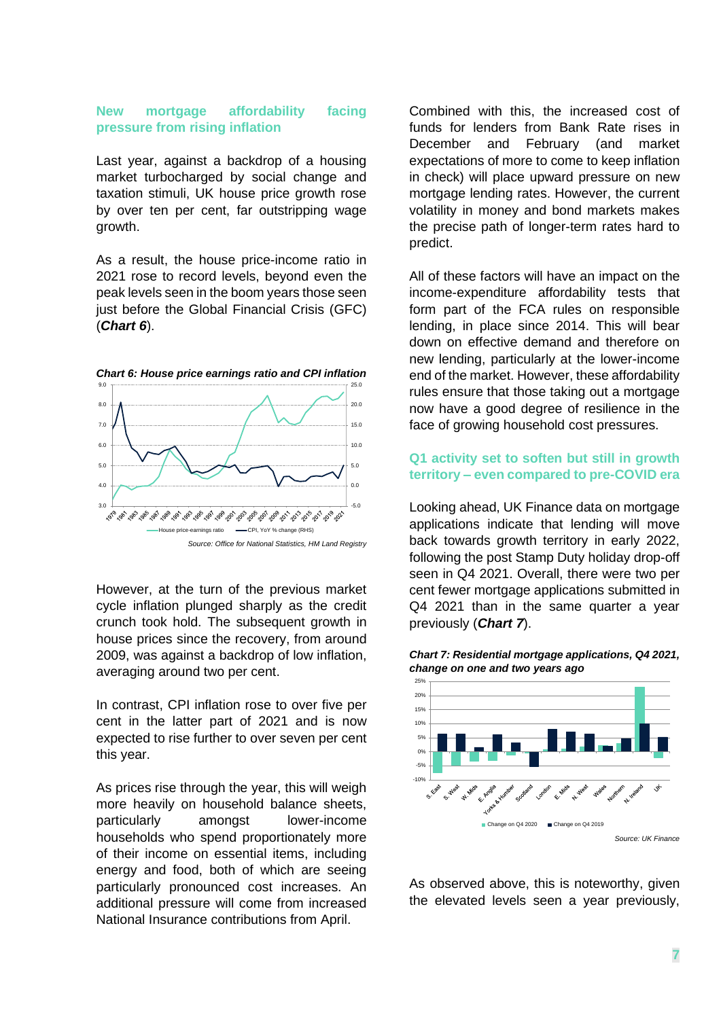#### **New mortgage affordability facing pressure from rising inflation**

Last year, against a backdrop of a housing market turbocharged by social change and taxation stimuli, UK house price growth rose by over ten per cent, far outstripping wage growth.

As a result, the house price-income ratio in 2021 rose to record levels, beyond even the peak levels seen in the boom years those seen just before the Global Financial Crisis (GFC) (*Chart 6*).



*Chart 6: House price earnings ratio and CPI inflation*

However, at the turn of the previous market cycle inflation plunged sharply as the credit crunch took hold. The subsequent growth in house prices since the recovery, from around 2009, was against a backdrop of low inflation, averaging around two per cent.

In contrast, CPI inflation rose to over five per cent in the latter part of 2021 and is now expected to rise further to over seven per cent this year.

As prices rise through the year, this will weigh more heavily on household balance sheets, particularly amongst lower-income households who spend proportionately more of their income on essential items, including energy and food, both of which are seeing particularly pronounced cost increases. An additional pressure will come from increased National Insurance contributions from April.

Combined with this, the increased cost of funds for lenders from Bank Rate rises in December and February (and market expectations of more to come to keep inflation in check) will place upward pressure on new mortgage lending rates. However, the current volatility in money and bond markets makes the precise path of longer-term rates hard to predict.

All of these factors will have an impact on the income-expenditure affordability tests that form part of the FCA rules on responsible lending, in place since 2014. This will bear down on effective demand and therefore on new lending, particularly at the lower-income end of the market. However, these affordability rules ensure that those taking out a mortgage now have a good degree of resilience in the face of growing household cost pressures.

## **Q1 activity set to soften but still in growth territory – even compared to pre-COVID era**

Looking ahead, UK Finance data on mortgage applications indicate that lending will move back towards growth territory in early 2022, following the post Stamp Duty holiday drop-off seen in Q4 2021. Overall, there were two per cent fewer mortgage applications submitted in Q4 2021 than in the same quarter a year previously (*Chart 7*).



*Chart 7: Residential mortgage applications, Q4 2021, change on one and two years ago*

As observed above, this is noteworthy, given the elevated levels seen a year previously,

*Source: Office for National Statistics, HM Land Registry*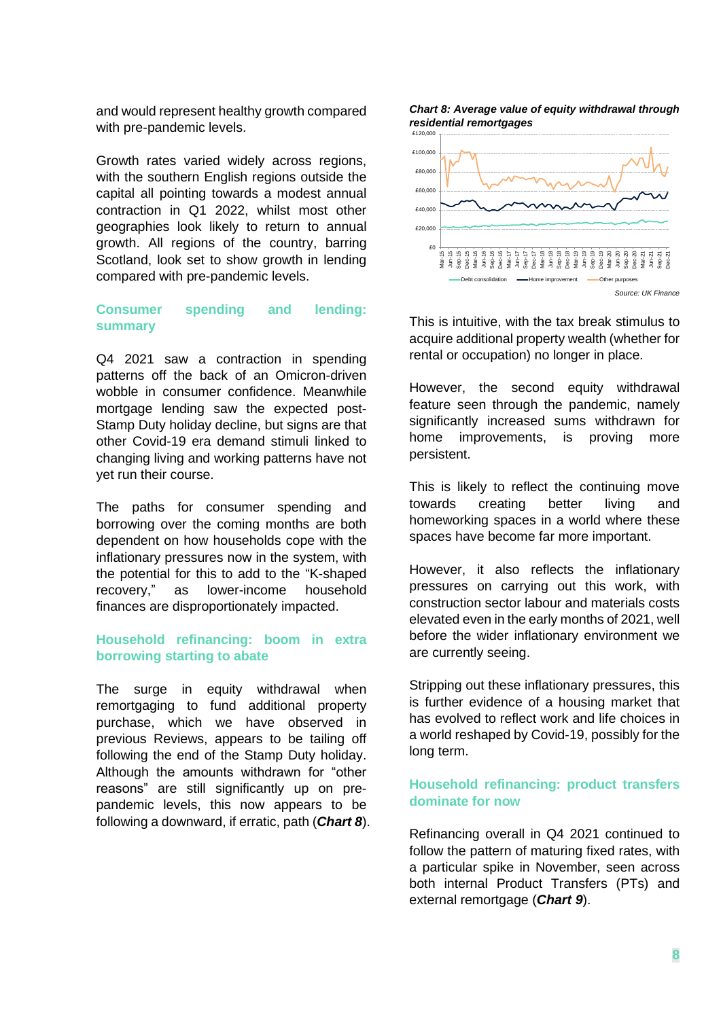and would represent healthy growth compared with pre-pandemic levels.

Growth rates varied widely across regions, with the southern English regions outside the capital all pointing towards a modest annual contraction in Q1 2022, whilst most other geographies look likely to return to annual growth. All regions of the country, barring Scotland, look set to show growth in lending compared with pre-pandemic levels.

#### **Consumer spending and lending: summary**

Q4 2021 saw a contraction in spending patterns off the back of an Omicron-driven wobble in consumer confidence. Meanwhile mortgage lending saw the expected post-Stamp Duty holiday decline, but signs are that other Covid-19 era demand stimuli linked to changing living and working patterns have not yet run their course.

The paths for consumer spending and borrowing over the coming months are both dependent on how households cope with the inflationary pressures now in the system, with the potential for this to add to the "K-shaped recovery," as lower-income household finances are disproportionately impacted.

#### **Household refinancing: boom in extra borrowing starting to abate**

The surge in equity withdrawal when remortgaging to fund additional property purchase, which we have observed in previous Reviews, appears to be tailing off following the end of the Stamp Duty holiday. Although the amounts withdrawn for "other reasons" are still significantly up on prepandemic levels, this now appears to be following a downward, if erratic, path (*Chart 8*).

*Chart 8: Average value of equity withdrawal through residential remortgages*



This is intuitive, with the tax break stimulus to acquire additional property wealth (whether for rental or occupation) no longer in place.

However, the second equity withdrawal feature seen through the pandemic, namely significantly increased sums withdrawn for home improvements, is proving more persistent.

This is likely to reflect the continuing move towards creating better living and homeworking spaces in a world where these spaces have become far more important.

However, it also reflects the inflationary pressures on carrying out this work, with construction sector labour and materials costs elevated even in the early months of 2021, well before the wider inflationary environment we are currently seeing.

Stripping out these inflationary pressures, this is further evidence of a housing market that has evolved to reflect work and life choices in a world reshaped by Covid-19, possibly for the long term.

#### **Household refinancing: product transfers dominate for now**

Refinancing overall in Q4 2021 continued to follow the pattern of maturing fixed rates, with a particular spike in November, seen across both internal Product Transfers (PTs) and external remortgage (*Chart 9*).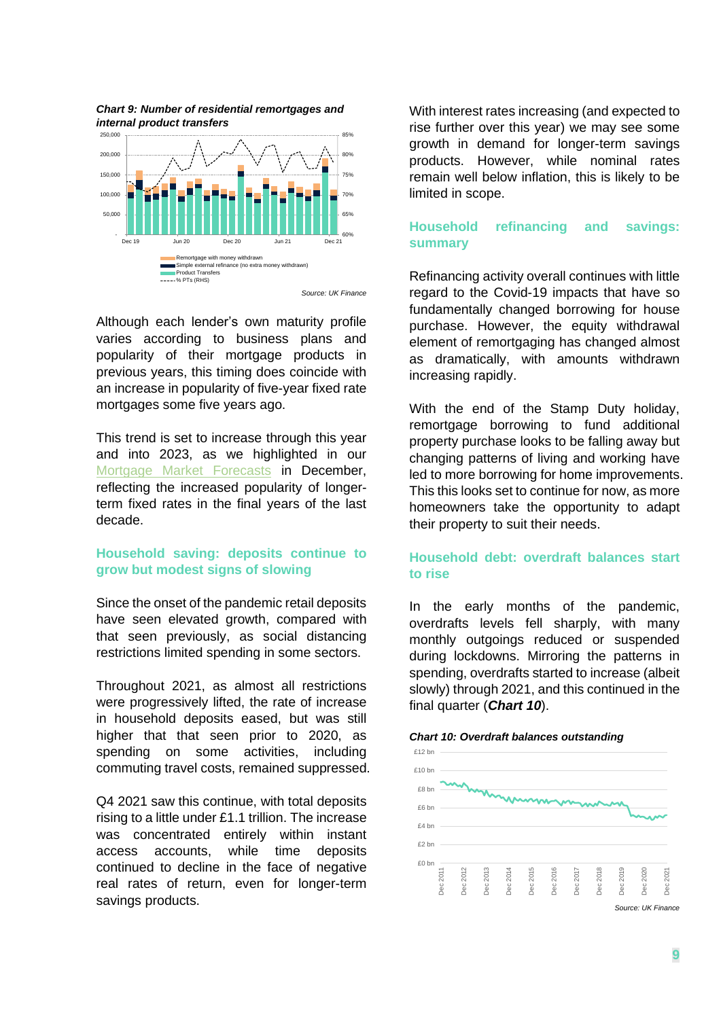



*Source: UK Finance*

Although each lender's own maturity profile varies according to business plans and popularity of their mortgage products in previous years, this timing does coincide with an increase in popularity of five-year fixed rate mortgages some five years ago.

This trend is set to increase through this year and into 2023, as we highlighted in our [Mortgage Market Forecasts](https://www.ukfinance.org.uk/data-and-research/data/mortgage-market-forecasts) in December, reflecting the increased popularity of longerterm fixed rates in the final years of the last decade.

## **Household saving: deposits continue to grow but modest signs of slowing**

Since the onset of the pandemic retail deposits have seen elevated growth, compared with that seen previously, as social distancing restrictions limited spending in some sectors.

Throughout 2021, as almost all restrictions were progressively lifted, the rate of increase in household deposits eased, but was still higher that that seen prior to 2020, as spending on some activities, including commuting travel costs, remained suppressed.

Q4 2021 saw this continue, with total deposits rising to a little under £1.1 trillion. The increase was concentrated entirely within instant access accounts, while time deposits continued to decline in the face of negative real rates of return, even for longer-term savings products.

With interest rates increasing (and expected to rise further over this year) we may see some growth in demand for longer-term savings products. However, while nominal rates remain well below inflation, this is likely to be limited in scope.

## **Household refinancing and savings: summary**

Refinancing activity overall continues with little regard to the Covid-19 impacts that have so fundamentally changed borrowing for house purchase. However, the equity withdrawal element of remortgaging has changed almost as dramatically, with amounts withdrawn increasing rapidly.

With the end of the Stamp Duty holiday, remortgage borrowing to fund additional property purchase looks to be falling away but changing patterns of living and working have led to more borrowing for home improvements. This this looks set to continue for now, as more homeowners take the opportunity to adapt their property to suit their needs.

# **Household debt: overdraft balances start to rise**

In the early months of the pandemic, overdrafts levels fell sharply, with many monthly outgoings reduced or suspended during lockdowns. Mirroring the patterns in spending, overdrafts started to increase (albeit slowly) through 2021, and this continued in the final quarter (*Chart 10*).



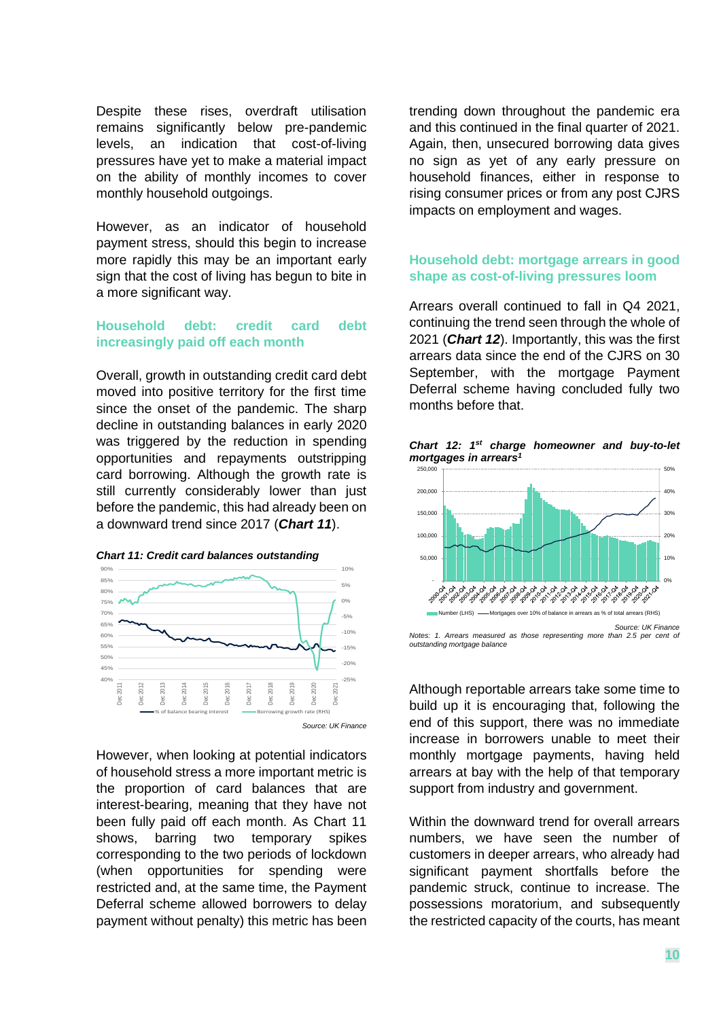Despite these rises, overdraft utilisation remains significantly below pre-pandemic levels, an indication that cost-of-living pressures have yet to make a material impact on the ability of monthly incomes to cover monthly household outgoings.

However, as an indicator of household payment stress, should this begin to increase more rapidly this may be an important early sign that the cost of living has begun to bite in a more significant way.

#### **Household debt: credit card debt increasingly paid off each month**

Overall, growth in outstanding credit card debt moved into positive territory for the first time since the onset of the pandemic. The sharp decline in outstanding balances in early 2020 was triggered by the reduction in spending opportunities and repayments outstripping card borrowing. Although the growth rate is still currently considerably lower than just before the pandemic, this had already been on a downward trend since 2017 (*Chart 11*).





However, when looking at potential indicators of household stress a more important metric is the proportion of card balances that are interest-bearing, meaning that they have not been fully paid off each month. As Chart 11 shows, barring two temporary spikes corresponding to the two periods of lockdown (when opportunities for spending were restricted and, at the same time, the Payment Deferral scheme allowed borrowers to delay payment without penalty) this metric has been

trending down throughout the pandemic era and this continued in the final quarter of 2021. Again, then, unsecured borrowing data gives no sign as yet of any early pressure on household finances, either in response to rising consumer prices or from any post CJRS impacts on employment and wages.

## **Household debt: mortgage arrears in good shape as cost-of-living pressures loom**

Arrears overall continued to fall in Q4 2021, continuing the trend seen through the whole of 2021 (*Chart 12*). Importantly, this was the first arrears data since the end of the CJRS on 30 September, with the mortgage Payment Deferral scheme having concluded fully two months before that.

*Chart 12: 1st charge homeowner and buy-to-let mortgages in arrears<sup>1</sup>*



*Notes: 1. Arrears measured as those representing more than 2.5 per cent of outstanding mortgage balance*

Although reportable arrears take some time to build up it is encouraging that, following the end of this support, there was no immediate increase in borrowers unable to meet their monthly mortgage payments, having held arrears at bay with the help of that temporary support from industry and government.

Within the downward trend for overall arrears numbers, we have seen the number of customers in deeper arrears, who already had significant payment shortfalls before the pandemic struck, continue to increase. The possessions moratorium, and subsequently the restricted capacity of the courts, has meant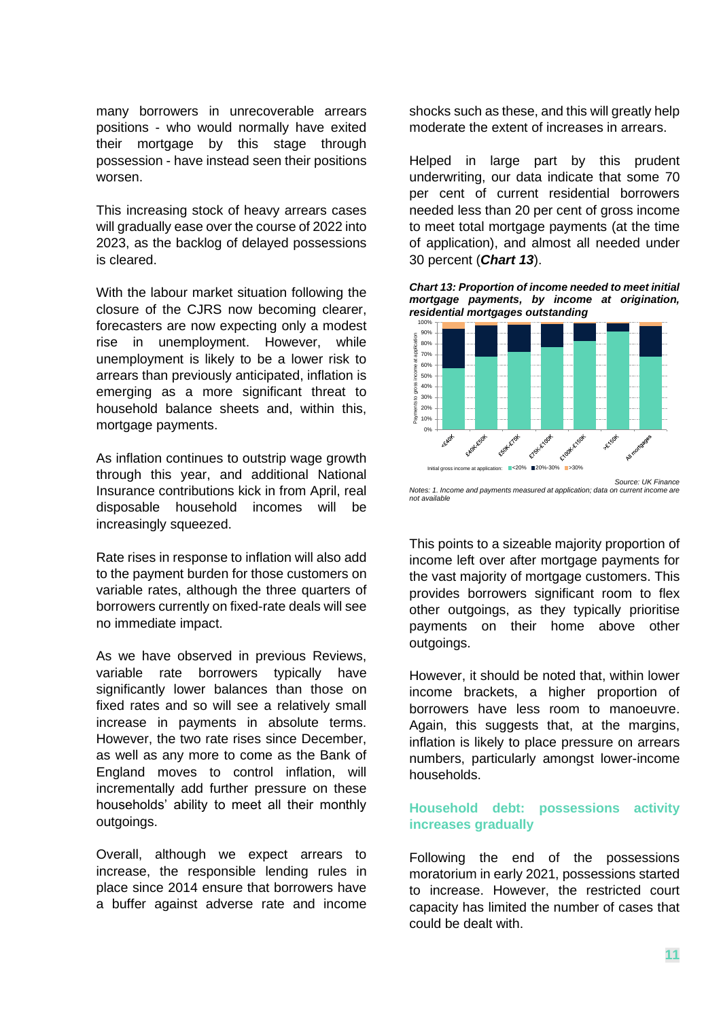many borrowers in unrecoverable arrears positions - who would normally have exited their mortgage by this stage through possession - have instead seen their positions worsen.

This increasing stock of heavy arrears cases will gradually ease over the course of 2022 into 2023, as the backlog of delayed possessions is cleared.

With the labour market situation following the closure of the CJRS now becoming clearer, forecasters are now expecting only a modest rise in unemployment. However, while unemployment is likely to be a lower risk to arrears than previously anticipated, inflation is emerging as a more significant threat to household balance sheets and, within this, mortgage payments.

As inflation continues to outstrip wage growth through this year, and additional National Insurance contributions kick in from April, real disposable household incomes will be increasingly squeezed.

Rate rises in response to inflation will also add to the payment burden for those customers on variable rates, although the three quarters of borrowers currently on fixed-rate deals will see no immediate impact.

As we have observed in previous Reviews, variable rate borrowers typically have significantly lower balances than those on fixed rates and so will see a relatively small increase in payments in absolute terms. However, the two rate rises since December, as well as any more to come as the Bank of England moves to control inflation, will incrementally add further pressure on these households' ability to meet all their monthly outgoings.

Overall, although we expect arrears to increase, the responsible lending rules in place since 2014 ensure that borrowers have a buffer against adverse rate and income shocks such as these, and this will greatly help moderate the extent of increases in arrears.

Helped in large part by this prudent underwriting, our data indicate that some 70 per cent of current residential borrowers needed less than 20 per cent of gross income to meet total mortgage payments (at the time of application), and almost all needed under 30 percent (*Chart 13*).

*Chart 13: Proportion of income needed to meet initial mortgage payments, by income at origination, residential mortgages outstanding*



*Notes: 1. Income and payments measured at application; data on current income are not available*

This points to a sizeable majority proportion of income left over after mortgage payments for the vast majority of mortgage customers. This provides borrowers significant room to flex other outgoings, as they typically prioritise payments on their home above other outgoings.

However, it should be noted that, within lower income brackets, a higher proportion of borrowers have less room to manoeuvre. Again, this suggests that, at the margins, inflation is likely to place pressure on arrears numbers, particularly amongst lower-income households.

## **Household debt: possessions activity increases gradually**

Following the end of the possessions moratorium in early 2021, possessions started to increase. However, the restricted court capacity has limited the number of cases that could be dealt with.